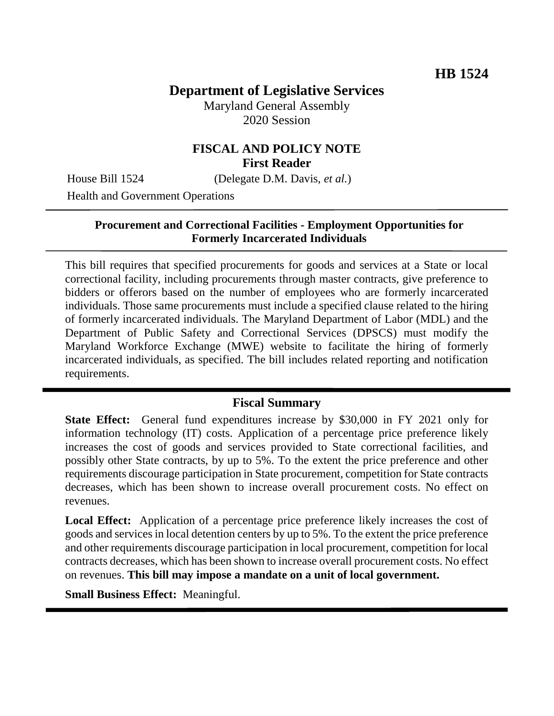# **Department of Legislative Services**

Maryland General Assembly 2020 Session

## **FISCAL AND POLICY NOTE First Reader**

House Bill 1524 (Delegate D.M. Davis, *et al.*)

Health and Government Operations

### **Procurement and Correctional Facilities - Employment Opportunities for Formerly Incarcerated Individuals**

This bill requires that specified procurements for goods and services at a State or local correctional facility, including procurements through master contracts, give preference to bidders or offerors based on the number of employees who are formerly incarcerated individuals. Those same procurements must include a specified clause related to the hiring of formerly incarcerated individuals. The Maryland Department of Labor (MDL) and the Department of Public Safety and Correctional Services (DPSCS) must modify the Maryland Workforce Exchange (MWE) website to facilitate the hiring of formerly incarcerated individuals, as specified. The bill includes related reporting and notification requirements.

#### **Fiscal Summary**

**State Effect:** General fund expenditures increase by \$30,000 in FY 2021 only for information technology (IT) costs. Application of a percentage price preference likely increases the cost of goods and services provided to State correctional facilities, and possibly other State contracts, by up to 5%. To the extent the price preference and other requirements discourage participation in State procurement, competition for State contracts decreases, which has been shown to increase overall procurement costs. No effect on revenues.

**Local Effect:** Application of a percentage price preference likely increases the cost of goods and services in local detention centers by up to 5%. To the extent the price preference and other requirements discourage participation in local procurement, competition for local contracts decreases, which has been shown to increase overall procurement costs. No effect on revenues. **This bill may impose a mandate on a unit of local government.**

**Small Business Effect:** Meaningful.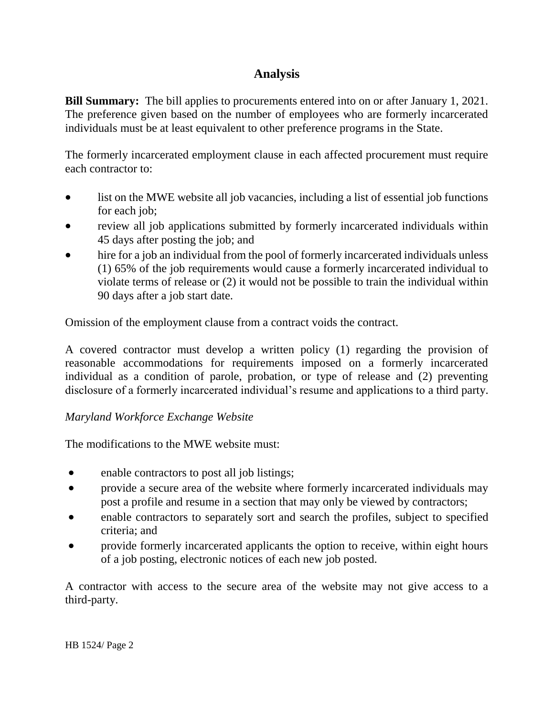## **Analysis**

**Bill Summary:** The bill applies to procurements entered into on or after January 1, 2021. The preference given based on the number of employees who are formerly incarcerated individuals must be at least equivalent to other preference programs in the State.

The formerly incarcerated employment clause in each affected procurement must require each contractor to:

- list on the MWE website all job vacancies, including a list of essential job functions for each job;
- review all job applications submitted by formerly incarcerated individuals within 45 days after posting the job; and
- hire for a job an individual from the pool of formerly incarcerated individuals unless (1) 65% of the job requirements would cause a formerly incarcerated individual to violate terms of release or (2) it would not be possible to train the individual within 90 days after a job start date.

Omission of the employment clause from a contract voids the contract.

A covered contractor must develop a written policy (1) regarding the provision of reasonable accommodations for requirements imposed on a formerly incarcerated individual as a condition of parole, probation, or type of release and (2) preventing disclosure of a formerly incarcerated individual's resume and applications to a third party.

## *Maryland Workforce Exchange Website*

The modifications to the MWE website must:

- enable contractors to post all job listings;
- provide a secure area of the website where formerly incarcerated individuals may post a profile and resume in a section that may only be viewed by contractors;
- enable contractors to separately sort and search the profiles, subject to specified criteria; and
- provide formerly incarcerated applicants the option to receive, within eight hours of a job posting, electronic notices of each new job posted.

A contractor with access to the secure area of the website may not give access to a third-party.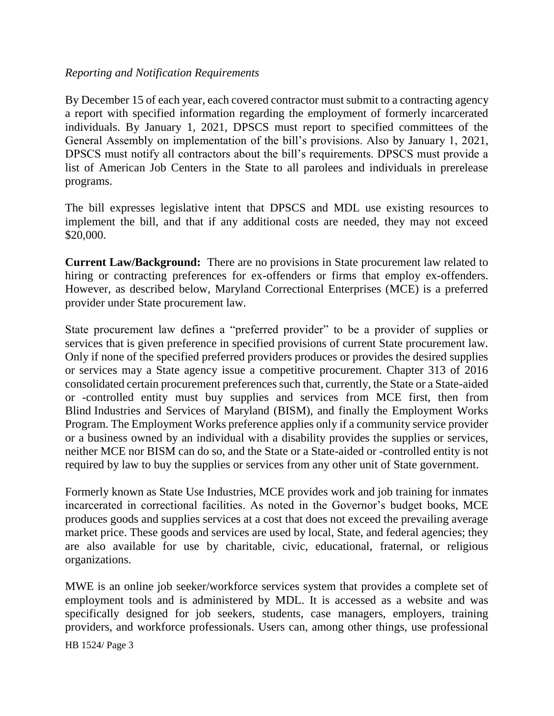#### *Reporting and Notification Requirements*

By December 15 of each year, each covered contractor must submit to a contracting agency a report with specified information regarding the employment of formerly incarcerated individuals. By January 1, 2021, DPSCS must report to specified committees of the General Assembly on implementation of the bill's provisions. Also by January 1, 2021, DPSCS must notify all contractors about the bill's requirements. DPSCS must provide a list of American Job Centers in the State to all parolees and individuals in prerelease programs.

The bill expresses legislative intent that DPSCS and MDL use existing resources to implement the bill, and that if any additional costs are needed, they may not exceed \$20,000.

**Current Law/Background:** There are no provisions in State procurement law related to hiring or contracting preferences for ex-offenders or firms that employ ex-offenders. However, as described below, Maryland Correctional Enterprises (MCE) is a preferred provider under State procurement law.

State procurement law defines a "preferred provider" to be a provider of supplies or services that is given preference in specified provisions of current State procurement law. Only if none of the specified preferred providers produces or provides the desired supplies or services may a State agency issue a competitive procurement. Chapter 313 of 2016 consolidated certain procurement preferences such that, currently, the State or a State-aided or -controlled entity must buy supplies and services from MCE first, then from Blind Industries and Services of Maryland (BISM), and finally the Employment Works Program. The Employment Works preference applies only if a community service provider or a business owned by an individual with a disability provides the supplies or services, neither MCE nor BISM can do so, and the State or a State-aided or -controlled entity is not required by law to buy the supplies or services from any other unit of State government.

Formerly known as State Use Industries, MCE provides work and job training for inmates incarcerated in correctional facilities. As noted in the Governor's budget books, MCE produces goods and supplies services at a cost that does not exceed the prevailing average market price. These goods and services are used by local, State, and federal agencies; they are also available for use by charitable, civic, educational, fraternal, or religious organizations.

MWE is an online job seeker/workforce services system that provides a complete set of employment tools and is administered by MDL. It is accessed as a website and was specifically designed for job seekers, students, case managers, employers, training providers, and workforce professionals. Users can, among other things, use professional

HB 1524/ Page 3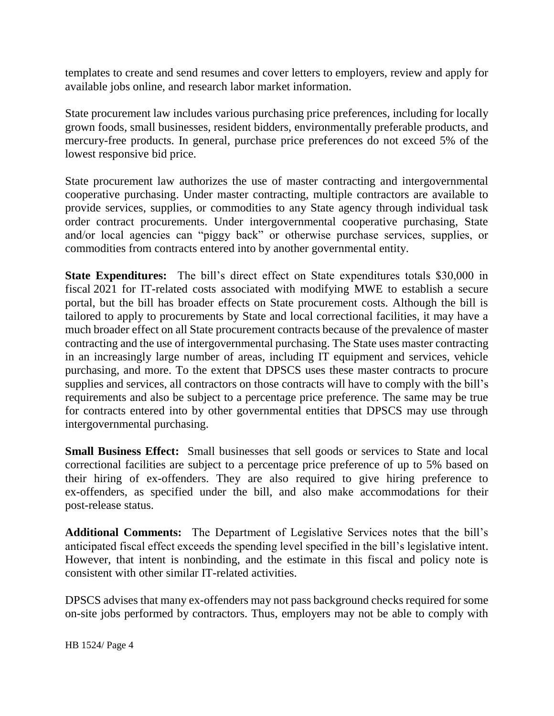templates to create and send resumes and cover letters to employers, review and apply for available jobs online, and research labor market information.

State procurement law includes various purchasing price preferences, including for locally grown foods, small businesses, resident bidders, environmentally preferable products, and mercury-free products. In general, purchase price preferences do not exceed 5% of the lowest responsive bid price.

State procurement law authorizes the use of master contracting and intergovernmental cooperative purchasing. Under master contracting, multiple contractors are available to provide services, supplies, or commodities to any State agency through individual task order contract procurements. Under intergovernmental cooperative purchasing, State and/or local agencies can "piggy back" or otherwise purchase services, supplies, or commodities from contracts entered into by another governmental entity.

**State Expenditures:** The bill's direct effect on State expenditures totals \$30,000 in fiscal 2021 for IT-related costs associated with modifying MWE to establish a secure portal, but the bill has broader effects on State procurement costs. Although the bill is tailored to apply to procurements by State and local correctional facilities, it may have a much broader effect on all State procurement contracts because of the prevalence of master contracting and the use of intergovernmental purchasing. The State uses master contracting in an increasingly large number of areas, including IT equipment and services, vehicle purchasing, and more. To the extent that DPSCS uses these master contracts to procure supplies and services, all contractors on those contracts will have to comply with the bill's requirements and also be subject to a percentage price preference. The same may be true for contracts entered into by other governmental entities that DPSCS may use through intergovernmental purchasing.

**Small Business Effect:** Small businesses that sell goods or services to State and local correctional facilities are subject to a percentage price preference of up to 5% based on their hiring of ex-offenders. They are also required to give hiring preference to ex-offenders, as specified under the bill, and also make accommodations for their post-release status.

**Additional Comments:** The Department of Legislative Services notes that the bill's anticipated fiscal effect exceeds the spending level specified in the bill's legislative intent. However, that intent is nonbinding, and the estimate in this fiscal and policy note is consistent with other similar IT-related activities.

DPSCS advises that many ex-offenders may not pass background checks required for some on-site jobs performed by contractors. Thus, employers may not be able to comply with